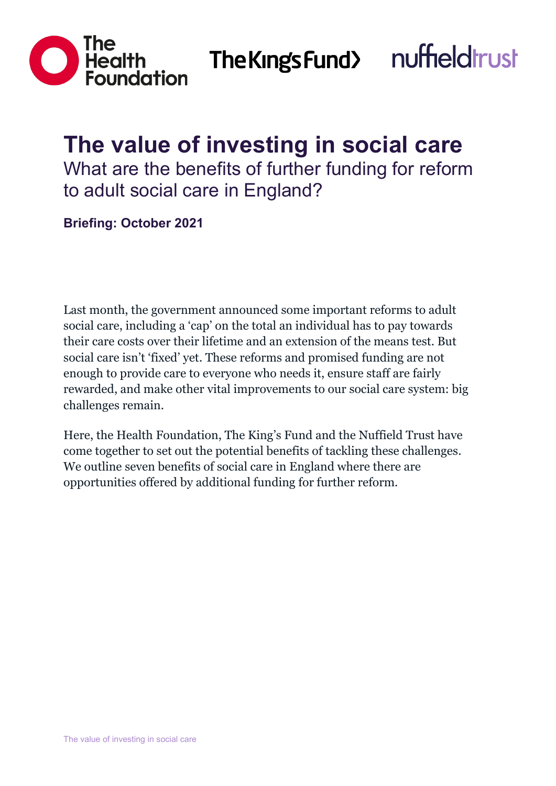

The Kings Fund>



# **The value of investing in social care**

What are the benefits of further funding for reform to adult social care in England?

**Briefing: October 2021**

Last month, the government announced some important reforms to adult social care, including a 'cap' on the total an individual has to pay towards their care costs over their lifetime and an extension of the means test. But social care isn't 'fixed' yet. These reforms and promised funding are not enough to provide care to everyone who needs it, ensure staff are fairly rewarded, and make other vital improvements to our social care system: big challenges remain.

Here, the Health Foundation, The King's Fund and the Nuffield Trust have come together to set out the potential benefits of tackling these challenges. We outline seven benefits of social care in England where there are opportunities offered by additional funding for further reform.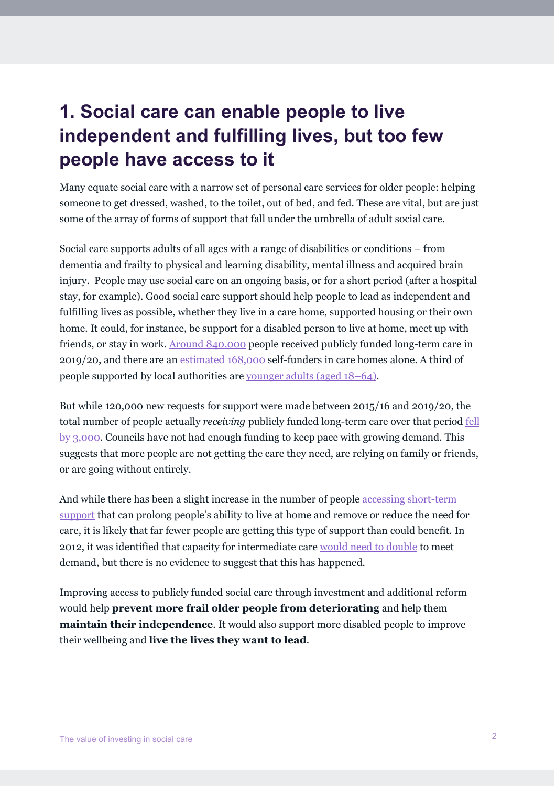#### **1. Social care can enable people to live independent and fulfilling lives, but too few people have access to it**

Many equate social care with a narrow set of personal care services for older people: helping someone to get dressed, washed, to the toilet, out of bed, and fed. These are vital, but are just some of the array of forms of support that fall under the umbrella of adult social care.

Social care supports adults of all ages with a range of disabilities or conditions – from dementia and frailty to physical and learning disability, mental illness and acquired brain injury. People may use social care on an ongoing basis, or for a short period (after a hospital stay, for example). Good social care support should help people to lead as independent and fulfilling lives as possible, whether they live in a care home, supported housing or their own home. It could, for instance, be support for a disabled person to live at home, meet up with friends, or stay in work. [Around 840,000](https://www.kingsfund.org.uk/publications/social-care-360/access#users) people received publicly funded long-term care in 2019/20, and there are an [estimated 168,000 s](https://www.gov.uk/government/publications/care-homes-market-study-summary-of-final-report/care-homes-market-study-summary-of-final-report)elf-funders in care homes alone. A third of people supported by local authorities are [younger adults \(aged 18–64\).](https://www.health.org.uk/publications/reports/social-care-for-adults-aged-18-64)

But while 120,000 new requests for support were made between 2015/16 and 2019/20, the total number of people actually *receiving* publicly funded long-term care over that period [fell](https://www.kingsfund.org.uk/publications/social-care-360)  [by 3,000.](https://www.kingsfund.org.uk/publications/social-care-360) Councils have not had enough funding to keep pace with growing demand. This suggests that more people are not getting the care they need, are relying on family or friends, or are going without entirely.

And while there has been a slight increase in the number of people [accessing short-term](https://www.kingsfund.org.uk/publications/social-care-360/access#users)  [support](https://www.kingsfund.org.uk/publications/social-care-360/access#users) that can prolong people's ability to live at home and remove or reduce the need for care, it is likely that far fewer people are getting this type of support than could benefit. In 2012, it was identified that capacity for intermediate care [would need to double](https://s3.eu-west-2.amazonaws.com/nhsbn-static/NAIC+(Providers)/2017/NAIC+England+Summary+Report+-+upload+2.pdf) to meet demand, but there is no evidence to suggest that this has happened.

Improving access to publicly funded social care through investment and additional reform would help **prevent more frail older people from deteriorating** and help them **maintain their independence**. It would also support more disabled people to improve their wellbeing and **live the lives they want to lead**.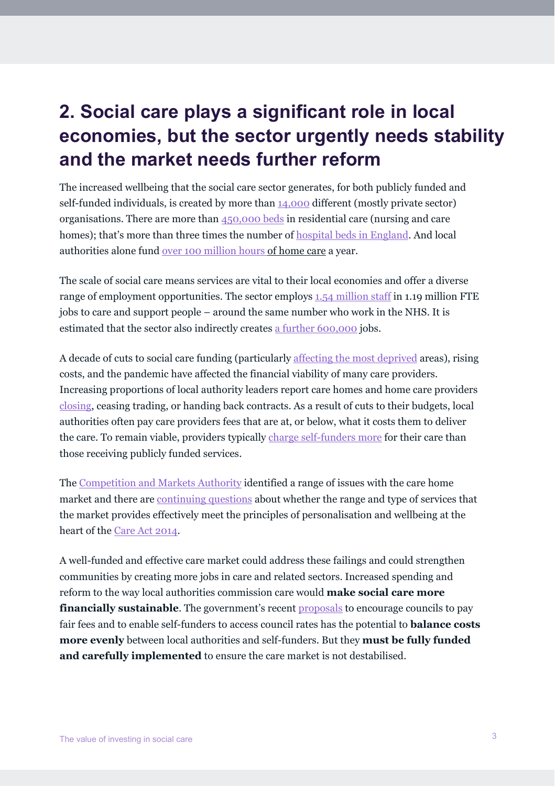# **2. Social care plays a significant role in local economies, but the sector urgently needs stability and the market needs further reform**

The increased wellbeing that the social care sector generates, for both publicly funded and self-funded individuals, is created by more than [14,000](https://eur02.safelinks.protection.outlook.com/?url=https%3A%2F%2Fwww.nuffieldtrust.org.uk%2Ffiles%2F2021-04%2Fnuffield-trust-social-care-provider-market-web1.pdf&data=04%7C01%7Cs.bottery%40kingsfund.org.uk%7C79610c7f3a7144a345f408d988d30653%7C5953124468854e4b9d6e4ec1f9e9ce29%7C1%7C0%7C637691262783897344%7CUnknown%7CTWFpbGZsb3d8eyJWIjoiMC4wLjAwMDAiLCJQIjoiV2luMzIiLCJBTiI6Ik1haWwiLCJXVCI6Mn0%3D%7C3000&sdata=%2Bll8IpTCqqe91Zbo1W9GTjlsbkSBFzn%2BxJb17UTopyQ%3D&reserved=0) different (mostly private sector) organisations. There are more than [450,000 beds](https://www.statista.com/statistics/827861/number-of-beds-in-nursing-and-residential-homes-england/) in residential care (nursing and care homes); that's more than three times the number of [hospital beds in England.](https://www.kingsfund.org.uk/publications/nhs-hospital-bed-numbers) And local authorities alone fund [over 100 million hours o](https://www.homecareassociation.org.uk/resource/market-overview-2021.html)f home care a year.

The scale of social care means services are vital to their local economies and offer a diverse range of employment opportunities. The sector employs [1.54 million staff](https://www.skillsforcare.org.uk/adult-social-care-workforce-data/Workforce-intelligence/documents/State-of-the-adult-social-care-sector/The-State-of-the-Adult-Social-Care-Sector-and-Workforce-2021.pdf) in 1.19 million FTE jobs to care and support people – around the same number who work in the NHS. It is estimated that the sector also indirectly creates [a further 600,000](https://www.skillsforcare.org.uk/About/Skills-for-Care-and-Development/The-economic-value-of-the-adult-social-care-sector-UK.aspx) jobs.

A decade of cuts to social care funding (particularly [affecting the most deprived](https://ifs.org.uk/publications/13066) areas), rising costs, and the pandemic have affected the financial viability of many care providers. Increasing proportions of local authority leaders report care homes and home care providers [closing,](https://www.adass.org.uk/media/8305/adass-autumn-survey-report-2020_final-website.pdf) ceasing trading, or handing back contracts. As a result of cuts to their budgets, local authorities often pay care providers fees that are at, or below, what it costs them to deliver the care. To remain viable, providers typically [charge self-funders more](https://www.health.org.uk/publications/long-reads/what-should-be-done-to-fix-the-crisis-in-social-care) for their care than those receiving publicly funded services.

The [Competition and Markets Authority](https://www.gov.uk/cma-cases/care-homes-market-study) identified a range of issues with the care home market and there are [continuing questions](https://www.kingsfund.org.uk/blog/2021/02/why-market-matters-adult-social-care) about whether the range and type of services that the market provides effectively meet the principles of personalisation and wellbeing at the heart of the [Care Act 2014.](https://www.legislation.gov.uk/ukpga/2014/23/enacted)

A well-funded and effective care market could address these failings and could strengthen communities by creating more jobs in care and related sectors. Increased spending and reform to the way local authorities commission care would **make social care more financially sustainable**. The government's recent **proposals** to encourage councils to pay fair fees and to enable self-funders to access council rates has the potential to **balance costs more evenly** between local authorities and self-funders. But they **must be fully funded and carefully implemented** to ensure the care market is not destabilised.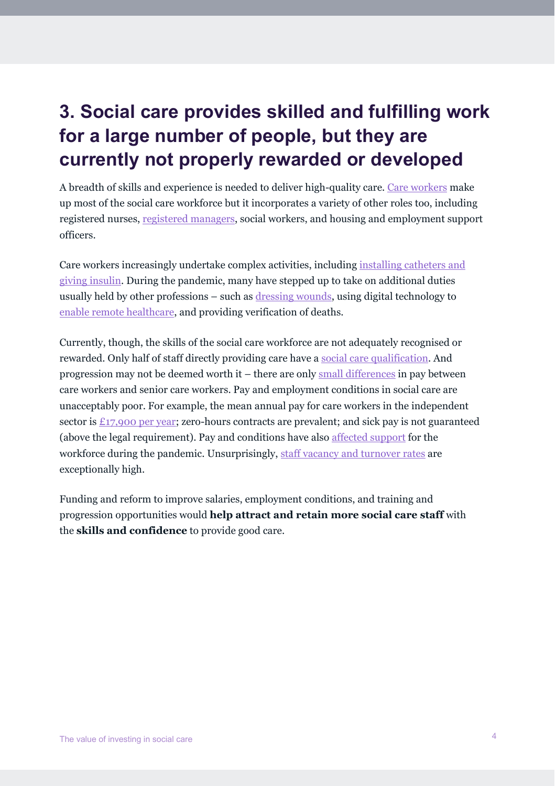# **3. Social care provides skilled and fulfilling work for a large number of people, but they are currently not properly rewarded or developed**

A breadth of skills and experience is needed to deliver high-quality care. [Care workers](https://www.thinklocalactpersonal.org.uk/Browse/Informationandadvice/CareandSupportJargonBuster/#Care%20worker) make up most of the social care workforce but it incorporates a variety of other roles too, including registered nurses, [registered managers,](https://www.thinklocalactpersonal.org.uk/Browse/Informationandadvice/CareandSupportJargonBuster/#Registered%20manager) social workers, and housing and employment support officers.

Care workers increasingly undertake complex activities, including [installing catheters and](https://kar.kent.ac.uk/77269/1/Professionalisation_at_Work_0309.pdf)  [giving insulin.](https://kar.kent.ac.uk/77269/1/Professionalisation_at_Work_0309.pdf) During the pandemic, many have stepped up to take on additional duties usually held by other professions – such as [dressing wounds,](https://www.norfolk.gov.uk/-/media/norfolk/downloads/business/supplying-ncc/care-providers/guidance-for-delegated-tasks.pdf?la=en) using digital technology to [enable remote healthcare,](https://www.skillsforcare.org.uk/Documents/Learning-and-development/Ongoing-learning-and-development/End-of-life-care/VOED-supporting-guidance.pdf) and providing verification of deaths.

Currently, though, the skills of the social care workforce are not adequately recognised or rewarded. Only half of staff directly providing care have a [social care qualification.](https://www.skillsforcare.org.uk/adult-social-care-workforce-data/Workforce-intelligence/documents/State-of-the-adult-social-care-sector/The-State-of-the-Adult-Social-Care-Sector-and-Workforce-2021.pdf) And progression may not be deemed worth it – there are only [small differences](https://www.skillsforcare.org.uk/adult-social-care-workforce-data/Workforce-intelligence/documents/State-of-the-adult-social-care-sector/The-State-of-the-Adult-Social-Care-Sector-and-Workforce-2021.pdf) in pay between care workers and senior care workers. Pay and employment conditions in social care are unacceptably poor. For example, the mean annual pay for care workers in the independent sector is [£17,900 per year;](https://www.skillsforcare.org.uk/adult-social-care-workforce-data/Workforce-intelligence/documents/State-of-the-adult-social-care-sector/The-State-of-the-Adult-Social-Care-Sector-and-Workforce-2021.pdf) zero-hours contracts are prevalent; and sick pay is not guaranteed (above the legal requirement). Pay and conditions have also [affected support](https://www.health.org.uk/news-and-comment/blogs/mind-the-gaps-adult-social-care-workforce-policy-during-the-pandemic) for the workforce during the pandemic. Unsurprisingly, [staff vacancy and turnover rates](https://www.skillsforcare.org.uk/adult-social-care-workforce-data/Workforce-intelligence/documents/State-of-the-adult-social-care-sector/The-State-of-the-Adult-Social-Care-Sector-and-Workforce-2021.pdf) are exceptionally high.

Funding and reform to improve salaries, employment conditions, and training and progression opportunities would **help attract and retain more social care staff** with the **skills and confidence** to provide good care.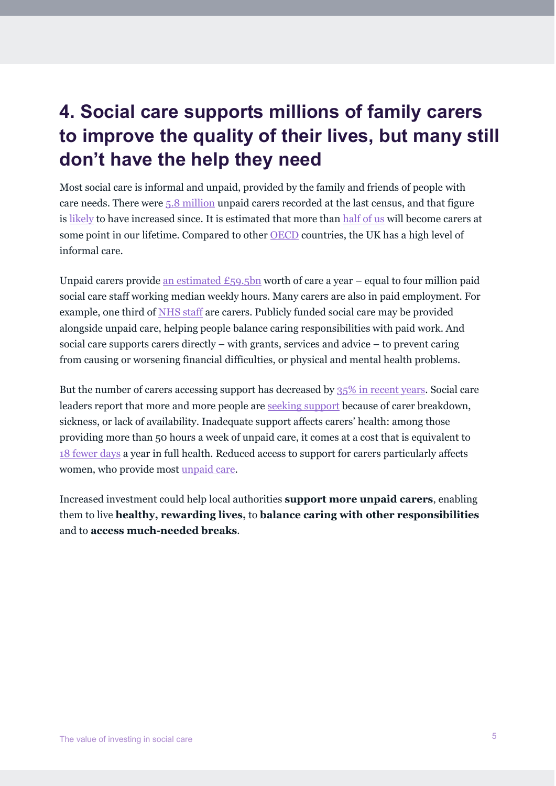## **4. Social care supports millions of family carers to improve the quality of their lives, but many still don't have the help they need**

Most social care is informal and unpaid, provided by the family and friends of people with care needs. There were [5.8 million](https://www.ons.gov.uk/peoplepopulationandcommunity/healthandsocialcare/healthcaresystem/articles/2011censusanalysisunpaidcareinenglandandwales2011andcomparisonwith2001/2013-02-15) unpaid carers recorded at the last census, and that figure is [likely](https://www.carersuk.org/news-and-campaigns/press-releases/facts-and-figures) to have increased since. It is estimated that more than [half of us](https://www.carersuk.org/images/News__campaigns/CarersRightsDay_Nov19_FINAL.pdf%20)) will become carers at some point in our lifetime. Compared to other [OECD](https://www.oecd-ilibrary.org/sites/a80d9f62-en/index.html?itemId=/content/component/a80d9f62-en) countries, the UK has a high level of informal care.

Unpaid carers provide an estimated  $£59.5$ bn worth of care a year – equal to four million paid social care staff working median weekly hours. Many carers are also in paid employment. For example, one third o[f NHS staff](https://www.carersuk.org/news-and-campaigns/press-releases/one-in-three-nhs-employees-juggle-job-with-caring-unpaid-for-a-loved-one#:%7E:text=Member%20login-,One%20in%20three%20NHS%20England%20employees%20juggle%20job,unpaid%20for%20a%20loved%20one&text=A%20ground%2Dbreaking%20question%20in,with%20over%201.2https://www.carersuk.org/news-and-campaigns/press-releases/one-in-three-nhs-employees-juggle-job-with-caring-unpaid-for-a-loved-one#:%7E:text=Member%20login-,One%20in%20three%20NHS%20England%20employees%20juggle%20job,unpaid%20for%20a%20loved%20one&text=A%20ground%2Dbreaking%20question%20in,with%20over%201.2%20million%20staff.20million%20staff.) are carers. Publicly funded social care may be provided alongside unpaid care, helping people balance caring responsibilities with paid work. And social care supports carers directly – with grants, services and advice – to prevent caring from causing or worsening financial difficulties, or physical and mental health problems.

But the number of carers accessing support has decreased by [35% in recent years.](https://www.healthwatch.co.uk/sites/healthwatch.co.uk/files/20181001_being_a_carer_0.pdf) Social care leaders report that more and more people are [seeking support](https://www.adass.org.uk/media/8714/adass-activity-survey-2021-cpdf.pdf) because of carer breakdown, sickness, or lack of availability. Inadequate support affects carers' health: among those providing more than 50 hours a week of unpaid care, it comes at a cost that is equivalent to [18 fewer days](https://www.ncbi.nlm.nih.gov/pmc/articles/PMC4446949/pdf/12875_2015_Article_277.pdf) a year in full health. Reduced access to support for carers particularly affects women, who provide most [unpaid care.](https://www.health.org.uk/publications/reports/social-care-for-adults-aged-18-64)

Increased investment could help local authorities **support more unpaid carers**, enabling them to live **healthy, rewarding lives,** to **balance caring with other responsibilities** and to **access much-needed breaks**.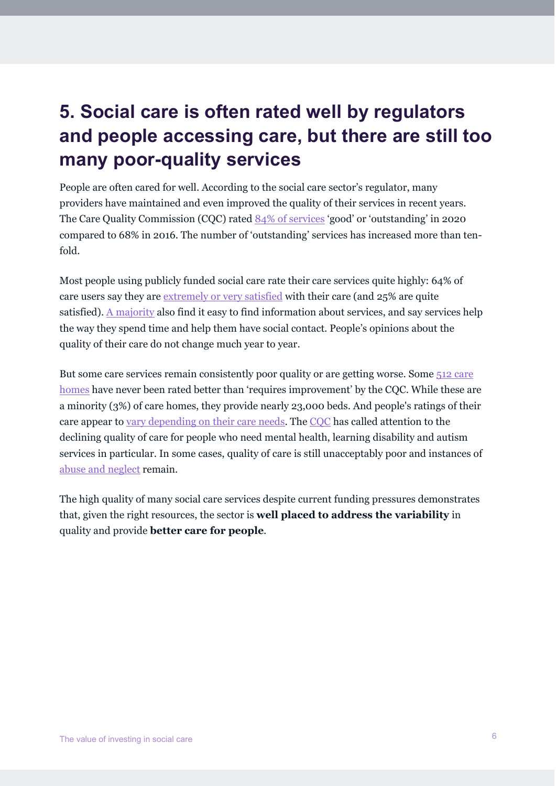# **5. Social care is often rated well by regulators and people accessing care, but there are still too many poor-quality services**

People are often cared for well. According to the social care sector's regulator, many providers have maintained and even improved the quality of their services in recent years. The Care Quality Commission (CQC) rated [84% of services](https://www.kingsfund.org.uk/publications/social-care-360/quality) 'good' or 'outstanding' in 2020 compared to 68% in 2016. The number of 'outstanding' services has increased more than tenfold.

Most people using publicly funded social care rate their care services quite highly: 64% of care users say they are [extremely or very satisfied](https://digital.nhs.uk/data-and-information/publications/statistical/adult-social-care-activity-and-finance-report) with their care (and 25% are quite satisfied). [A majority](https://www.health.org.uk/publications/reports/social-care-for-adults-aged-18-64) also find it easy to find information about services, and say services help the way they spend time and help them have social contact. People's opinions about the quality of their care do not change much year to year.

But some care services remain consistently poor quality or are getting worse. Some [512 care](https://www.cqc.org.uk/sites/default/files/20201016_stateofcare1920_fullreport.pdf)  [homes](https://www.cqc.org.uk/sites/default/files/20201016_stateofcare1920_fullreport.pdf) have never been rated better than 'requires improvement' by the CQC. While these are a minority (3%) of care homes, they provide nearly 23,000 beds. And people's ratings of their care appear to [vary depending on their care needs.](https://www.health.org.uk/publications/reports/social-care-for-adults-aged-18-64) The [CQC](https://www.cqc.org.uk/sites/default/files/20191015b_stateofcare1819_fullreport.pdf) has called attention to the declining quality of care for people who need mental health, learning disability and autism services in particular. In some cases, quality of care is still unacceptably poor and instances of [abuse and neglect](https://www.nuffieldtrust.org.uk/news-item/yet-another-case-of-history-repeating) remain.

The high quality of many social care services despite current funding pressures demonstrates that, given the right resources, the sector is **well placed to address the variability** in quality and provide **better care for people**.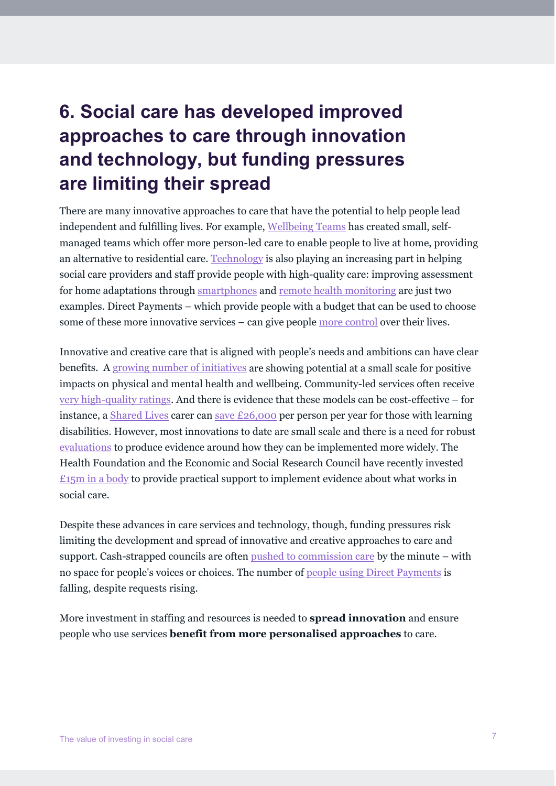# **6. Social care has developed improved approaches to care through innovation and technology, but funding pressures are limiting their spread**

There are many innovative approaches to care that have the potential to help people lead independent and fulfilling lives. For example, [Wellbeing Teams](https://www.thinklocalactpersonal.org.uk/_assets/Resources/BCC/6innovationsinsocialcare-1.pdf) has created small, selfmanaged teams which offer more person-led care to enable people to live at home, providing an alternative to residential care. [Technology](https://digital.nhs.uk/services/social-care-programme) is also playing an increasing part in helping social care providers and staff provide people with high-quality care: improving assessment for home adaptations through [smartphones](https://www.local.gov.uk/case-studies/improving-assessment-home-adaptions-using-smartphones) and [remote health monitoring](https://www.nuffieldtrust.org.uk/research/10-practical-lessons-for-implementing-digital-innovations-learning-from-the-care-city-test-bed) are just two examples. Direct Payments – which provide people with a budget that can be used to choose some of these more innovative services – can give people [more control](https://www.pssru.ac.uk/pub/dprla.pdf) over their lives.

Innovative and creative care that is aligned with people's needs and ambitions can have clear benefits. A [growing number of initiatives](https://www.birmingham.ac.uk/Documents/college-social-sciences/social-policy/BRACE/innovations-in-adult-social-care-and-social-work-report.pdf) are showing potential at a small scale for positive impacts on physical and mental health and wellbeing. Community-led services often receive [very high-quality ratings.](https://www.cqc.org.uk/sites/default/files/20191015b_stateofcare1819_fullreport.pdf) And there is evidence that these models can be cost-effective – for instance, a [Shared Lives](https://sharedlivesplus.org.uk/news-campaigns-and-jobs/growing-shared-lives/the-difference-shared-lives-make/) carer can [save £26,000](https://www.socialfinance.org.uk/sites/default/files/publications/sf_shared_lives_final.pdf) per person per year for those with learning disabilities. However, most innovations to date are small scale and there is a need for robust [evaluations](https://link.springer.com/epdf/10.1186/s12961-021-00693-2?sharing_token=hsYOdBYBq1UlCG2K1jdT_G_BpE1tBhCbnbw3BuzI2RPVhyKYt3Q92zwT77cVCF7dCopbybXmMqNl7YQ9c3y0D-iGCRKeY-7ApId4kKn0P3bedxxFmrx376trtpq8yU-OzJmcxwrj4DExT3S8nxJRKhv9olO9y69Apl3YhMpziOQ%3D) to produce evidence around how they can be implemented more widely. The Health Foundation and the Economic and Social Research Council have recently invested  $£15m$  in a body to provide practical support to implement evidence about what works in social care.

Despite these advances in care services and technology, though, funding pressures risk limiting the development and spread of innovative and creative approaches to care and support. Cash-strapped councils are often [pushed to commission care](https://www.nuffieldtrust.org.uk/research/fractured-and-forgotten-the-social-care-provider-market-in-england) by the minute – with no space for people's voices or choices. The number of [people using Direct Payments](https://www.kingsfund.org.uk/sites/default/files/2021-05/social-care-360-2021_0.pdf) is falling, despite requests rising.

More investment in staffing and resources is needed to **spread innovation** and ensure people who use services **benefit from more personalised approaches** to care.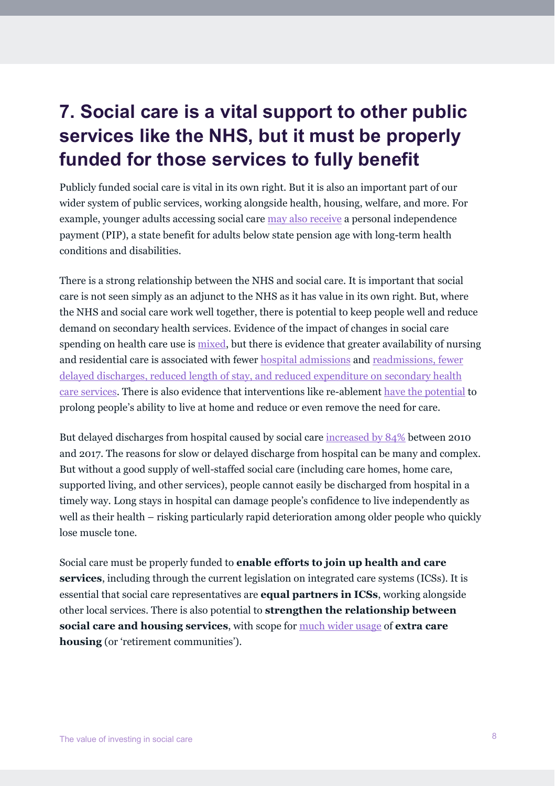## **7. Social care is a vital support to other public services like the NHS, but it must be properly funded for those services to fully benefit**

Publicly funded social care is vital in its own right. But it is also an important part of our wider system of public services, working alongside health, housing, welfare, and more. For example, younger adults accessing social care [may also receive](https://www.health.org.uk/publications/reports/social-care-for-adults-aged-18-64) a personal independence payment (PIP), a state benefit for adults below state pension age with long-term health conditions and disabilities.

There is a strong relationship between the NHS and social care. It is important that social care is not seen simply as an adjunct to the NHS as it has value in its own right. But, where the NHS and social care work well together, there is potential to keep people well and reduce demand on secondary health services. Evidence of the impact of changes in social care spending on health care use is [mixed,](https://bmjopen.bmj.com/content/9/4/e024577.full) but there is evidence that greater availability of nursing and residential care is associated with fewer [hospital admissions](https://onlinelibrary.wiley.com/doi/pdf/10.1111/hsc.12798) and [readmissions, fewer](https://eprints.ncl.ac.uk/file_store/production/250485/54D5774B-5EF5-4122-B9B6-6544E3D46C8A.pdf)  [delayed discharges, reduced length of stay, and reduced expenditure on secondary health](https://eprints.ncl.ac.uk/file_store/production/250485/54D5774B-5EF5-4122-B9B6-6544E3D46C8A.pdf)  [care services.](https://eprints.ncl.ac.uk/file_store/production/250485/54D5774B-5EF5-4122-B9B6-6544E3D46C8A.pdf) There is also evidence that interventions like re-ablement [have the potential](https://www.scie.org.uk/publications/guides/guide49/research.asp) to prolong people's ability to live at home and reduce or even remove the need for care.

But delayed discharges from hospital caused by social care [increased by 84%](https://www.nuffieldtrust.org.uk/public/resource/what-s-behind-delayed-transfers-of-care) between 2010 and 2017. The reasons for slow or delayed discharge from hospital can be many and complex. But without a good supply of well-staffed social care (including care homes, home care, supported living, and other services), people cannot easily be discharged from hospital in a timely way. Long stays in hospital can damage people's confidence to live independently as well as their health – risking particularly rapid deterioration among older people who quickly lose muscle tone.

Social care must be properly funded to **enable efforts to join up health and care services**, including through the current legislation on integrated care systems (ICSs). It is essential that social care representatives are **equal partners in ICSs**, working alongside other local services. There is also potential to **strengthen the relationship between social care and housing services**, with scope for [much wider usage](https://www.housinglin.org.uk/_assets/Resources/Housing/Support_materials/Reports/HLIN-Mears_ECH_Market_Analysis.pdf) of **extra care housing** (or 'retirement communities').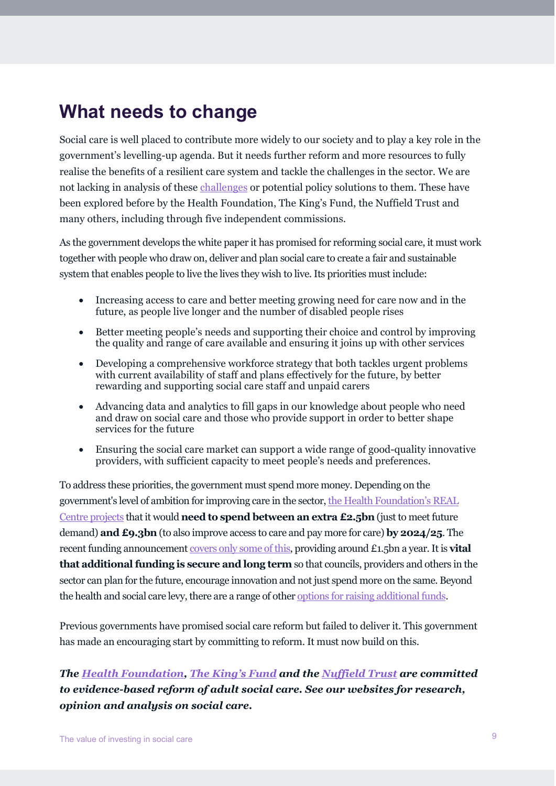#### **What needs to change**

Social care is well placed to contribute more widely to our society and to play a key role in the government's levelling-up agenda. But it needs further reform and more resources to fully realise the benefits of a resilient care system and tackle the challenges in the sector. We are not lacking in analysis of these [challenges](https://www.kingsfund.org.uk/publications/whats-your-problem-social-care) or potential policy solutions to them. These have been explored before by the Health Foundation, The King's Fund, the Nuffield Trust and many others, including through five independent commissions.

As the government develops the white paper it has promised for reforming social care, it must work together with people who draw on, deliver and plan social care to create a fair and sustainable system that enables people to live the lives they wish to live. Its priorities must include:

- Increasing access to care and better meeting growing need for care now and in the future, as people live longer and the number of disabled people rises
- Better meeting people's needs and supporting their choice and control by improving the quality and range of care available and ensuring it joins up with other services
- Developing a comprehensive workforce strategy that both tackles urgent problems with current availability of staff and plans effectively for the future, by better rewarding and supporting social care staff and unpaid carers
- Advancing data and analytics to fill gaps in our knowledge about people who need and draw on social care and those who provide support in order to better shape services for the future
- Ensuring the social care market can support a wide range of good-quality innovative providers, with sufficient capacity to meet people's needs and preferences.

To address these priorities, the government must spend more money. Depending on the government's level of ambition for improving care in the sector[, the Health Foundation's REAL](https://www.health.org.uk/news-and-comment/charts-and-infographics/REAL-social-care-funding-gap)  Centre [projects](https://www.health.org.uk/news-and-comment/charts-and-infographics/REAL-social-care-funding-gap) that it would **need to spend between an extra £2.5bn** (just to meet future demand) **and £9.3bn** (to also improve access to care and pay more for care) **by 2024/25**. The recent funding announcemen[t covers only some of this,](https://twitter.com/AnitaCTHF/status/1435987332730167304) providing around £1.5bn a year. It is **vital that additional funding is secure and long term** so that councils, providers and others in the sector can plan for the future, encourage innovation and not just spend more on the same. Beyond the health and social care levy, there are a range of othe[r options for raising additional funds.](https://www.nuffieldtrust.org.uk/chart/social-care-funding-options)

Previous governments have promised social care reform but failed to deliver it. This government has made an encouraging start by committing to reform. It must now build on this.

*The [Health Foundation,](https://www.health.org.uk/topics/social-care) [The King's Fund](https://www.kingsfund.org.uk/topics/adult-social-care) and the [Nuffield Trust](https://www.nuffieldtrust.org.uk/spotlight/social-care) are committed to evidence-based reform of adult social care. See our websites for research, opinion and analysis on social care.*